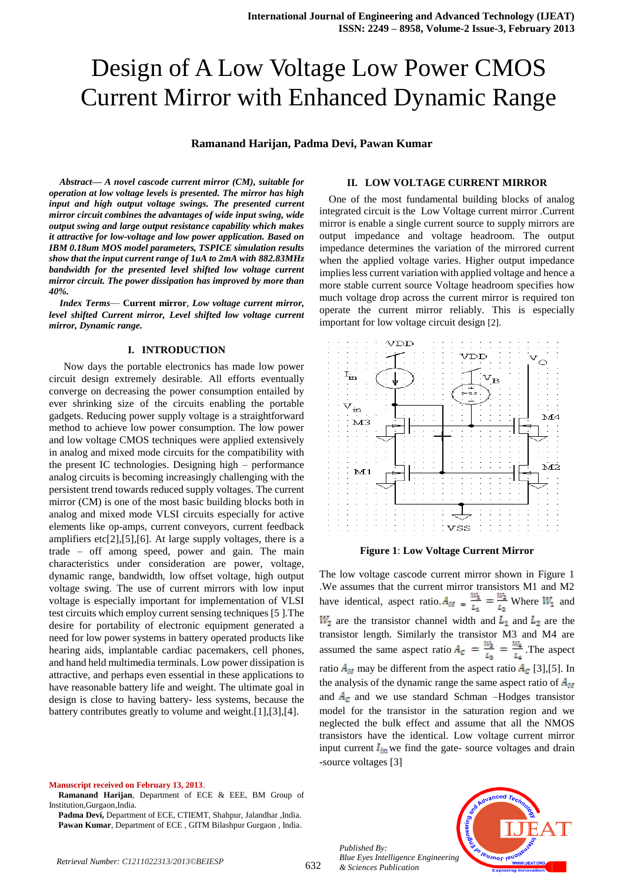# Design of A Low Voltage Low Power CMOS Current Mirror with Enhanced Dynamic Range

## **Ramanand Harijan, Padma Devi, Pawan Kumar**

*Abstract***—** *A novel cascode current mirror (CM), suitable for operation at low voltage levels is presented. The mirror has high input and high output voltage swings. The presented current mirror circuit combines the advantages of wide input swing, wide output swing and large output resistance capability which makes it attractive for low-voltage and low power application. Based on IBM 0.18um MOS model parameters, TSPICE simulation results show that the input current range of 1uA to 2mA with 882.83MHz bandwidth for the presented level shifted low voltage current mirror circuit. The power dissipation has improved by more than 40%.*

*Index Terms—* **Current mirror**, *Low voltage current mirror, level shifted Current mirror, Level shifted low voltage current mirror, Dynamic range.* 

#### **I. INTRODUCTION**

 Now days the portable electronics has made low power circuit design extremely desirable. All efforts eventually converge on decreasing the power consumption entailed by ever shrinking size of the circuits enabling the portable gadgets. Reducing power supply voltage is a straightforward method to achieve low power consumption. The low power and low voltage CMOS techniques were applied extensively in analog and mixed mode circuits for the compatibility with the present IC technologies. Designing high – performance analog circuits is becoming increasingly challenging with the persistent trend towards reduced supply voltages. The current mirror (CM) is one of the most basic building blocks both in analog and mixed mode VLSI circuits especially for active elements like op-amps, current conveyors, current feedback amplifiers etc[2],[5],[6]. At large supply voltages, there is a trade – off among speed, power and gain. The main characteristics under consideration are power, voltage, dynamic range, bandwidth, low offset voltage, high output voltage swing. The use of current mirrors with low input voltage is especially important for implementation of VLSI test circuits which employ current sensing techniques [5 ].The desire for portability of electronic equipment generated a need for low power systems in battery operated products like hearing aids, implantable cardiac pacemakers, cell phones, and hand held multimedia terminals. Low power dissipation is attractive, and perhaps even essential in these applications to have reasonable battery life and weight. The ultimate goal in design is close to having battery- less systems, because the battery contributes greatly to volume and weight.[1],[3],[4].

**Manuscript received on February 13, 2013**.

**Ramanand Harijan**, Department of ECE & EEE, BM Group of Institution,Gurgaon,India.

#### **II. LOW VOLTAGE CURRENT MIRROR**

One of the most fundamental building blocks of analog integrated circuit is the Low Voltage current mirror .Current mirror is enable a single current source to supply mirrors are output impedance and voltage headroom. The output impedance determines the variation of the mirrored current when the applied voltage varies. Higher output impedance implies less current variation with applied voltage and hence a more stable current source Voltage headroom specifies how much voltage drop across the current mirror is required ton operate the current mirror reliably. This is especially important for low voltage circuit design [2].



#### **Figure 1**: **Low Voltage Current Mirror**

The low voltage cascode current mirror shown in Figure 1 .We assumes that the current mirror transistors M1 and M2 have identical, aspect ratio.  $A_{M} = \frac{m_1}{l} = \frac{m_2}{l}$  Where  $W_1$  and  $W_2$  are the transistor channel width and  $L_1$  and  $L_2$  are the transistor length. Similarly the transistor M3 and M4 are assumed the same aspect ratio  $A_c = \frac{W_3}{L_3} = \frac{W_4}{L_4}$ . The aspect ratio  $A_M$  may be different from the aspect ratio  $A_C$  [3],[5]. In the analysis of the dynamic range the same aspect ratio of  $A<sub>M</sub>$ and  $A_c$  and we use standard Schman –Hodges transistor model for the transistor in the saturation region and we neglected the bulk effect and assume that all the NMOS transistors have the identical. Low voltage current mirror input current  $I_{in}$  we find the gate- source voltages and drain -source voltages [3]



**Padma Devi,** Department of ECE, CTIEMT, Shahpur, Jalandhar ,India. **Pawan Kumar**, Department of ECE , GITM Bilashpur Gurgaon , India.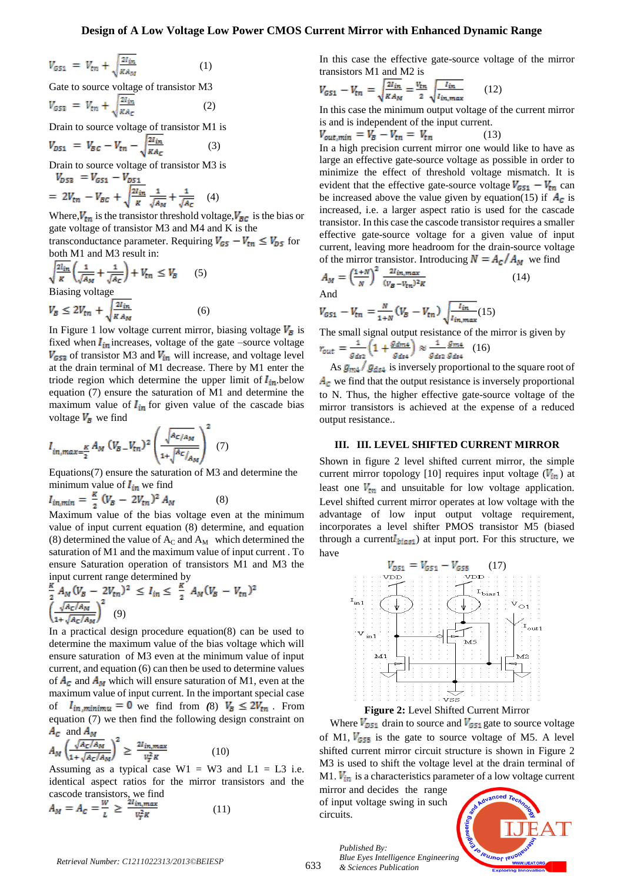#### **Design of A Low Voltage Low Power CMOS Current Mirror with Enhanced Dynamic Range**

$$
V_{GS1} = V_{\text{tn}} + \sqrt{\frac{2l_{\text{in}}}{KA_M}}
$$
 (1)  
Gate to source voltage of transistor M3  

$$
V_{GS2} = V_{\text{tn}} + \sqrt{\frac{2l_{\text{in}}}{KA_C}}
$$
 (2)

Drain to source voltage of transistor M1 is

$$
V_{DS1} = V_{BC} - V_{tn} - \sqrt{\frac{2l_{in}}{\kappa_{Ac}}}
$$
 (3)

Drain to source voltage of transistor M3 is  $V_{n52} = V_{n51} - V_{n51}$ 

$$
= 2V_{tn} - V_{BC} + \sqrt{\frac{2I_{in}}{K}} \frac{1}{\sqrt{A_M}} + \frac{1}{\sqrt{A_C}} \quad (4)
$$

Where,  $V_{tn}$  is the transistor threshold voltage,  $V_{BC}$  is the bias or gate voltage of transistor M3 and M4 and K is the

transconductance parameter. Requiring  $V_{GS} - V_{tn} \leq V_{DS}$  for both M1 and M3 result in:

$$
\sqrt{\frac{2l_{in}}{\kappa}} \left( \frac{1}{\sqrt{A_M}} + \frac{1}{\sqrt{A_C}} \right) + V_{tn} \le V_B \qquad (5)
$$
  
\nBiasing voltage  
\n
$$
V_B \le 2V_{tn} + \sqrt{\frac{2l_{in}}{\kappa A_M}} \qquad (6)
$$

In Figure 1 low voltage current mirror, biasing voltage  $V_{\bar{B}}$  is fixed when  $I_{in}$  increases, voltage of the gate –source voltage  $V_{\text{G53}}$  of transistor M3 and  $V_{\text{in}}$  will increase, and voltage level at the drain terminal of M1 decrease. There by M1 enter the triode region which determine the upper limit of  $I_{in}$  below equation (7) ensure the saturation of M1 and determine the maximum value of  $I_{in}$  for given value of the cascade bias voltage  $V_B$  we find

$$
I_{in,max=\frac{K}{2}}A_M (V_{B}-V_{tn})^2 \left(\frac{\sqrt{A_{C/A_M}}}{1+\sqrt{A_{C/A_M}}}\right)^2 (7)
$$

Equations(7) ensure the saturation of M3 and determine the minimum value of  $I_{in}$  we find

$$
I_{in,min} = \frac{\kappa}{2} (V_B - 2V_{tn})^2 A_M \tag{8}
$$

Maximum value of the bias voltage even at the minimum value of input current equation (8) determine, and equation (8) determined the value of  $A_C$  and  $A_M$  which determined the saturation of M1 and the maximum value of input current . To ensure Saturation operation of transistors M1 and M3 the input current range determined by

$$
\frac{\kappa}{2} A_M (V_B - 2V_{tn})^2 \le I_{in} \le \frac{\kappa}{2} A_M (V_B - V_{tn})^2
$$
  

$$
\left(\frac{\sqrt{A_C/A_M}}{1 + \sqrt{A_C/A_M}}\right)^2
$$
 (9)

In a practical design procedure equation(8) can be used to determine the maximum value of the bias voltage which will ensure saturation of M3 even at the minimum value of input current, and equation (6) can then be used to determine values of  $A_C$  and  $A_M$  which will ensure saturation of M1, even at the maximum value of input current. In the important special case of  $I_{in,minimu} = 0$  we find from (8)  $V_B \le 2V_{tn}$ . From equation (7) we then find the following design constraint on  $A_c$  and  $A_M$ 

$$
A_M \left(\frac{\sqrt{A_C/A_M}}{1 + \sqrt{A_C/A_M}}\right)^2 \ge \frac{2l_{in,max}}{v_f^2 \kappa} \tag{10}
$$

Assuming as a typical case  $W1 = W3$  and  $L1 = L3$  i.e. identical aspect ratios for the mirror transistors and the cascode transistors, we find

$$
A_M = A_C = \frac{W}{L} \ge \frac{2l_{in,max}}{v_T^2 R} \tag{11}
$$

In this case the effective gate-source voltage of the mirror transistors M1 and M2 is

$$
V_{G51} - V_{tn} = \sqrt{\frac{2l_{in}}{KA_M}} = \frac{v_{tn}}{2} \sqrt{\frac{l_{in}}{l_{in,max}}} \qquad (12)
$$

In this case the minimum output voltage of the current mirror is and is independent of the input current.

$$
V_{out,min} = V_B - V_{tn} = V_{tn} \tag{13}
$$

In a high precision current mirror one would like to have as large an effective gate-source voltage as possible in order to minimize the effect of threshold voltage mismatch. It is evident that the effective gate-source voltage  $V_{GS1} - V_{tn}$  can be increased above the value given by equation(15) if  $A_c$  is increased, i.e. a larger aspect ratio is used for the cascade transistor. In this case the cascode transistor requires a smaller effective gate-source voltage for a given value of input current, leaving more headroom for the drain-source voltage of the mirror transistor. Introducing  $N = A_c/A_M$  we find

$$
A_M = \left(\frac{1+N}{N}\right)^2 \frac{2l_{in,max}}{(v_B - v_{tn})^2 R}
$$
 (14)

$$
V_{GS1} - V_{tn} = \frac{N}{1+N} (V_B - V_{tn}) \sqrt{\frac{l_{in}}{l_{in,max}}} (15)
$$

The small signal output resistance of the mirror is given by  $\frac{1}{\mu} \frac{g_{m4}}{g_{m4}}$  (16)  $1 \left(1, g_{dm4}\right)$ 

$$
r_{out} = \frac{1}{g_{ds2}} \left(1 + \frac{g_{max}}{g_{ds4}}\right) \approx \frac{g_{max}}{g_{ds2}} \left(16\right)
$$

As  $g_{m4}$  /  $g_{ds4}$  is inversely proportional to the square root of  $A_c$  we find that the output resistance is inversely proportional to N. Thus, the higher effective gate-source voltage of the mirror transistors is achieved at the expense of a reduced output resistance..

#### **III. III. LEVEL SHIFTED CURRENT MIRROR**

Shown in figure 2 level shifted current mirror, the simple current mirror topology [10] requires input voltage  $(V_{in})$  at least one  $V_{tn}$  and unsuitable for low voltage application. Level shifted current mirror operates at low voltage with the advantage of low input output voltage requirement, incorporates a level shifter PMOS transistor M5 (biased through a current  $l_{bias1}$ ) at input port. For this structure, we have



Where  $V_{DS1}$  drain to source and  $V_{GS1}$  gate to source voltage of M1,  $V_{G55}$  is the gate to source voltage of M5. A level shifted current mirror circuit structure is shown in Figure 2 M3 is used to shift the voltage level at the drain terminal of M1.  $V_{in}$  is a characteristics parameter of a low voltage current

mirror and decides the range of input voltage swing in such circuits.

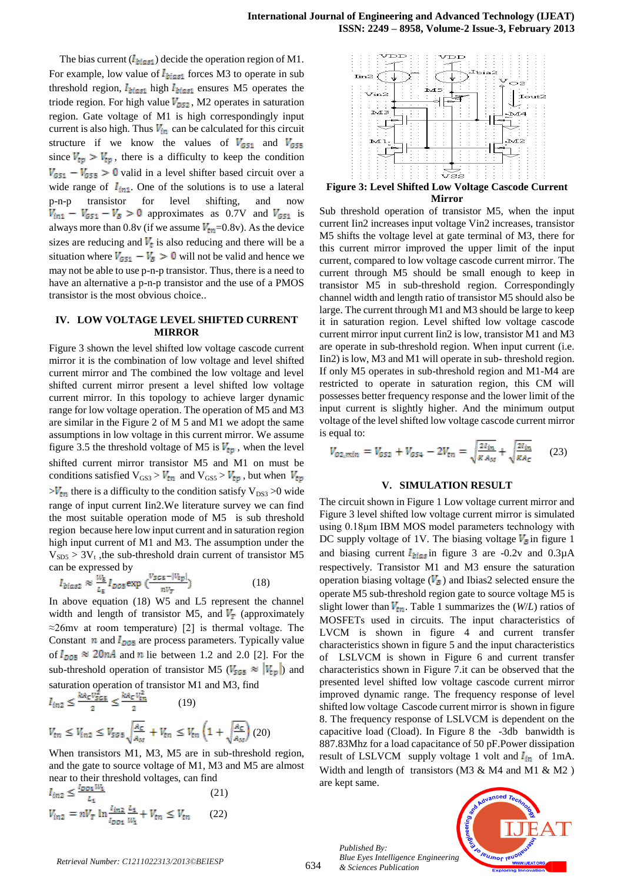The bias current  $(I_{bias1})$  decide the operation region of M1. For example, low value of  $I_{bias1}$  forces M3 to operate in sub threshold region,  $I_{bias1}$  high  $I_{bias1}$  ensures M5 operates the triode region. For high value  $V_{DS2}$ , M2 operates in saturation region. Gate voltage of M1 is high correspondingly input current is also high. Thus  $V_{in}$  can be calculated for this circuit structure if we know the values of  $V_{GS1}$  and  $V_{GS5}$ since  $V_{tp} > V_{tp}$ , there is a difficulty to keep the condition  $V_{G51} - V_{G55} > 0$  valid in a level shifter based circuit over a wide range of  $I_{int}$ . One of the solutions is to use a lateral p-n-p transistor for level shifting, and now  $V_{\text{in1}} - V_{\text{G51}} - V_{\text{B}} > 0$  approximates as 0.7V and  $V_{\text{G51}}$  is always more than 0.8v (if we assume  $V_{tn}$ =0.8v). As the device sizes are reducing and  $V_t$  is also reducing and there will be a situation where  $V_{GS1} - V_{\bar{B}} > 0$  will not be valid and hence we may not be able to use p-n-p transistor. Thus, there is a need to have an alternative a p-n-p transistor and the use of a PMOS transistor is the most obvious choice..

#### **IV. LOW VOLTAGE LEVEL SHIFTED CURRENT MIRROR**

Figure 3 shown the level shifted low voltage cascode current mirror it is the combination of low voltage and level shifted current mirror and The combined the low voltage and level shifted current mirror present a level shifted low voltage current mirror. In this topology to achieve larger dynamic range for low voltage operation. The operation of M5 and M3 are similar in the Figure 2 of M 5 and M1 we adopt the same assumptions in low voltage in this current mirror. We assume figure 3.5 the threshold voltage of M5 is  $V_{tp}$ , when the level shifted current mirror transistor M5 and M1 on must be conditions satisfied  $V_{GS} > V_{tn}$  and  $V_{GS} > V_{tp}$ , but when  $V_{tp}$  $>V_{\text{tm}}$  there is a difficulty to the condition satisfy  $V_{DS3} > 0$  wide range of input current Iin2.We literature survey we can find the most suitable operation mode of M5 is sub threshold region because here low input current and in saturation region high input current of M1 and M3. The assumption under the  $V<sub>SD5</sub>$  > 3V<sub>t</sub>, the sub-threshold drain current of transistor M5 can be expressed by

$$
I_{bias2} \approx \frac{w_5}{L_5} I_{DOS} \exp\left(\frac{v_{SGS} - |v_{typ}|}{n v_T}\right) \tag{18}
$$

In above equation (18) W5 and L5 represent the channel width and length of transistor M5, and  $V_T$  (approximately  $\approx$ 26mv at room temperature) [2] is thermal voltage. The Constant  $n$  and  $I_{DOS}$  are process parameters. Typically value of  $I_{DOS} \approx 20nA$  and *n* lie between 1.2 and 2.0 [2]. For the sub-threshold operation of transistor M5 ( $V_{505} \approx |V_{tp}|$ ) and saturation operation of transistor M1 and M3, find

$$
I_{in2} \le \frac{\kappa A_C V_{SGS}}{2} \le \frac{\kappa A_C V_{th}}{2} \qquad (19)
$$
  

$$
V_{tn} \le V_{in2} \le V_{SG5} \sqrt{\frac{A_C}{A_M}} + V_{tn} \le V_{tn} \left(1 + \sqrt{\frac{A_C}{A_M}}\right) (20)
$$

When transistors M1, M3, M5 are in sub-threshold region, and the gate to source voltage of M1, M3 and M5 are almost near to their threshold voltages, can find

$$
I_{in2} \le \frac{I_{D01}W_1}{L_1}
$$
\n
$$
V_{in2} = nV_T \ln \frac{I_{in2}}{I_{D01}} \frac{L_1}{W_1} + V_{tn} \le V_{tn}
$$
\n(21)



**Mirror**

Sub threshold operation of transistor M5, when the input current Iin2 increases input voltage Vin2 increases, transistor M5 shifts the voltage level at gate terminal of M3, there for this current mirror improved the upper limit of the input current, compared to low voltage cascode current mirror. The current through M5 should be small enough to keep in transistor M5 in sub-threshold region. Correspondingly channel width and length ratio of transistor M5 should also be large. The current through M1 and M3 should be large to keep it in saturation region. Level shifted low voltage cascode current mirror input current Iin2 is low, transistor M1 and M3 are operate in sub-threshold region. When input current (i.e. Iin2) is low, M3 and M1 will operate in sub- threshold region. If only M5 operates in sub-threshold region and M1-M4 are restricted to operate in saturation region, this CM will possesses better frequency response and the lower limit of the input current is slightly higher. And the minimum output voltage of the level shifted low voltage cascode current mirror is equal to:

$$
V_{02,min} = V_{G52} + V_{G54} - 2V_{tn} = \sqrt{\frac{2I_{in}}{K A_M}} + \sqrt{\frac{2I_{in}}{K A_C}}
$$
 (23)

#### **V. SIMULATION RESULT**

The circuit shown in Figure 1 Low voltage current mirror and Figure 3 level shifted low voltage current mirror is simulated using 0.18μm IBM MOS model parameters technology with DC supply voltage of 1V. The biasing voltage  $V_{\overline{B}}$  in figure 1 and biasing current  $I_{bias}$  in figure 3 are -0.2v and 0.3 $\mu$ A respectively. Transistor M1 and M3 ensure the saturation operation biasing voltage  $(V_{\bar{B}})$  and Ibias2 selected ensure the operate M5 sub-threshold region gate to source voltage M5 is slight lower than  $V_{tn}$ . Table 1 summarizes the (*W*/*L*) ratios of MOSFETs used in circuits. The input characteristics of LVCM is shown in figure 4 and current transfer characteristics shown in figure 5 and the input characteristics of LSLVCM is shown in Figure 6 and current transfer characteristics shown in Figure 7.it can be observed that the presented level shifted low voltage cascode current mirror improved dynamic range. The frequency response of level shifted low voltage Cascode current mirror is shown in figure 8. The frequency response of LSLVCM is dependent on the capacitive load (Cload). In Figure 8 the -3db banwidth is 887.83Mhz for a load capacitance of 50 pF.Power dissipation result of LSLVCM supply voltage 1 volt and  $I_{in}$  of 1mA. Width and length of transistors (M3 & M4 and M1 & M2 ) are kept same.

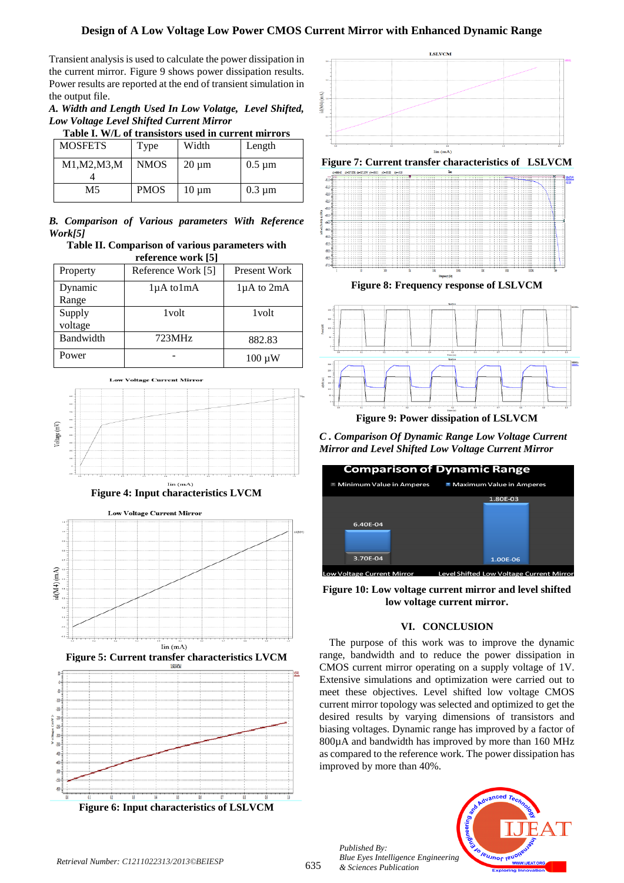# **Design of A Low Voltage Low Power CMOS Current Mirror with Enhanced Dynamic Range**

Transient analysis is used to calculate the power dissipation in the current mirror. Figure 9 shows power dissipation results. Power results are reported at the end of transient simulation in the output file.

*A. Width and Length Used In Low Volatge, Level Shifted, Low Voltage Level Shifted Current Mirror*

**Table I. W/L of transistors used in current mirrors**

| <b>MOSFETS</b> | Type        | Width      | Length      |
|----------------|-------------|------------|-------------|
| M1, M2, M3, M  | <b>NMOS</b> | $20 \mu m$ | $0.5 \mu m$ |
| M5             | <b>PMOS</b> | $10 \mu m$ | $0.3 \mu m$ |

*B. Comparison of Various parameters With Reference Work[5]* 

**Table II. Comparison of various parameters with reference work [5]**

| Property          | Reference Work [5]   | Present Work      |
|-------------------|----------------------|-------------------|
| Dynamic<br>Range  | $1\mu A$ to $1\mu A$ | $1\mu A$ to $2mA$ |
| Supply<br>voltage | 1 <sub>volt</sub>    | 1 <sub>volt</sub> |
| Bandwidth         | 723MHz               | 882.83            |
| Power             |                      | $100 \mu W$       |

**Voltage Current Mirror** 











**Figure 8: Frequency response of LSLVCM**



**Figure 9: Power dissipation of LSLVCM**

*C . Comparison Of Dynamic Range Low Voltage Current Mirror and Level Shifted Low Voltage Current Mirror*



**Figure 10: Low voltage current mirror and level shifted low voltage current mirror.**

# **VI. CONCLUSION**

The purpose of this work was to improve the dynamic range, bandwidth and to reduce the power dissipation in CMOS current mirror operating on a supply voltage of 1V. Extensive simulations and optimization were carried out to meet these objectives. Level shifted low voltage CMOS current mirror topology was selected and optimized to get the desired results by varying dimensions of transistors and biasing voltages. Dynamic range has improved by a factor of 800µA and bandwidth has improved by more than 160 MHz as compared to the reference work. The power dissipation has improved by more than 40%.